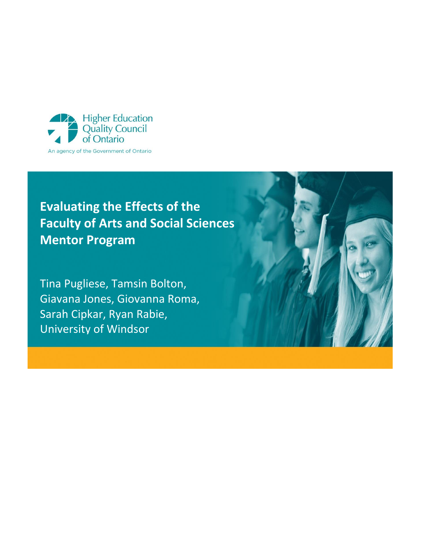

# **Evaluating the Effects of the Faculty of Arts and Social Sciences Mentor Program**

Tina Pugliese, Tamsin Bolton, Giavana Jones, Giovanna Roma, Sarah Cipkar, Ryan Rabie, University of Windsor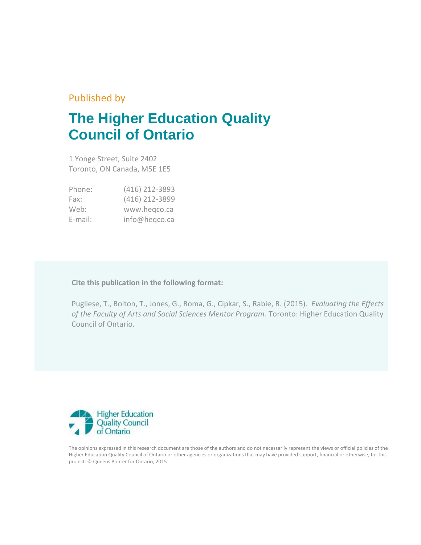### Published by

# **The Higher Education Quality Council of Ontario**

1 Yonge Street, Suite 2402 Toronto, ON Canada, M5E 1E5

| Phone:  | (416) 212-3893 |
|---------|----------------|
| Fax:    | (416) 212-3899 |
| Web:    | www.hegco.ca   |
| E-mail: | info@heqco.ca  |

**Cite this publication in the following format:**

Pugliese, T., Bolton, T., Jones, G., Roma, G., Cipkar, S., Rabie, R. (2015). *Evaluating the Effects of the Faculty of Arts and Social Sciences Mentor Program.* Toronto: Higher Education Quality Council of Ontario.



The opinions expressed in this research document are those of the authors and do not necessarily represent the views or official policies of the Higher Education Quality Council of Ontario or other agencies or organizations that may have provided support, financial or otherwise, for this project. © Queens Printer for Ontario, 2015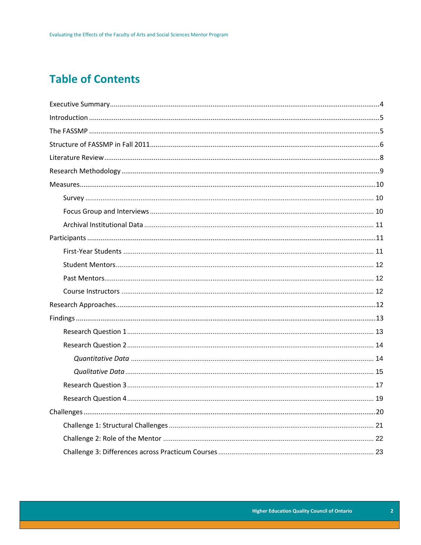## **Table of Contents**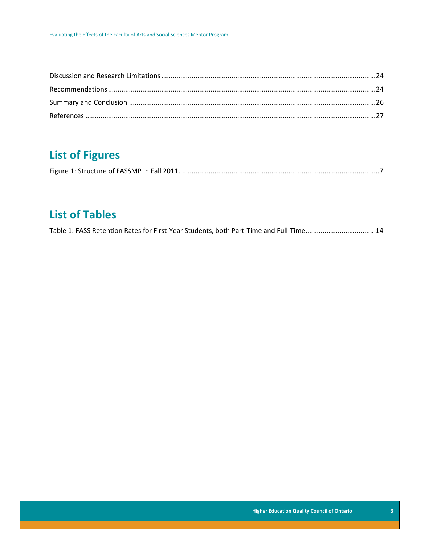# **List of Figures**

## **List of Tables**

| Table 1: FASS Retention Rates for First-Year Students, both Part-Time and Full-Time 14 |  |
|----------------------------------------------------------------------------------------|--|
|----------------------------------------------------------------------------------------|--|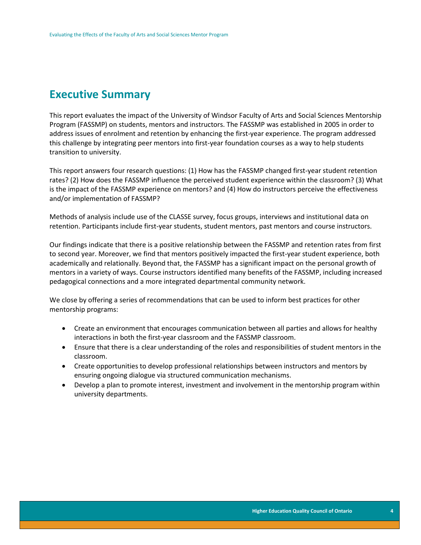### <span id="page-4-0"></span>**Executive Summary**

This report evaluates the impact of the University of Windsor Faculty of Arts and Social Sciences Mentorship Program (FASSMP) on students, mentors and instructors. The FASSMP was established in 2005 in order to address issues of enrolment and retention by enhancing the first-year experience. The program addressed this challenge by integrating peer mentors into first-year foundation courses as a way to help students transition to university.

This report answers four research questions: (1) How has the FASSMP changed first-year student retention rates? (2) How does the FASSMP influence the perceived student experience within the classroom? (3) What is the impact of the FASSMP experience on mentors? and (4) How do instructors perceive the effectiveness and/or implementation of FASSMP?

Methods of analysis include use of the CLASSE survey, focus groups, interviews and institutional data on retention. Participants include first-year students, student mentors, past mentors and course instructors.

Our findings indicate that there is a positive relationship between the FASSMP and retention rates from first to second year. Moreover, we find that mentors positively impacted the first-year student experience, both academically and relationally. Beyond that, the FASSMP has a significant impact on the personal growth of mentors in a variety of ways. Course instructors identified many benefits of the FASSMP, including increased pedagogical connections and a more integrated departmental community network.

We close by offering a series of recommendations that can be used to inform best practices for other mentorship programs:

- Create an environment that encourages communication between all parties and allows for healthy interactions in both the first-year classroom and the FASSMP classroom.
- Ensure that there is a clear understanding of the roles and responsibilities of student mentors in the classroom.
- Create opportunities to develop professional relationships between instructors and mentors by ensuring ongoing dialogue via structured communication mechanisms.
- Develop a plan to promote interest, investment and involvement in the mentorship program within university departments.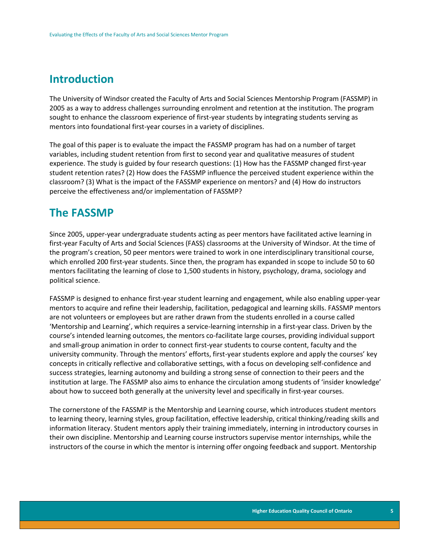### <span id="page-5-0"></span>**Introduction**

The University of Windsor created the Faculty of Arts and Social Sciences Mentorship Program (FASSMP) in 2005 as a way to address challenges surrounding enrolment and retention at the institution. The program sought to enhance the classroom experience of first-year students by integrating students serving as mentors into foundational first-year courses in a variety of disciplines.

The goal of this paper is to evaluate the impact the FASSMP program has had on a number of target variables, including student retention from first to second year and qualitative measures of student experience. The study is guided by four research questions: (1) How has the FASSMP changed first-year student retention rates? (2) How does the FASSMP influence the perceived student experience within the classroom? (3) What is the impact of the FASSMP experience on mentors? and (4) How do instructors perceive the effectiveness and/or implementation of FASSMP?

### <span id="page-5-1"></span>**The FASSMP**

Since 2005, upper-year undergraduate students acting as peer mentors have facilitated active learning in first-year Faculty of Arts and Social Sciences (FASS) classrooms at the University of Windsor. At the time of the program's creation, 50 peer mentors were trained to work in one interdisciplinary transitional course, which enrolled 200 first-year students. Since then, the program has expanded in scope to include 50 to 60 mentors facilitating the learning of close to 1,500 students in history, psychology, drama, sociology and political science.

FASSMP is designed to enhance first-year student learning and engagement, while also enabling upper-year mentors to acquire and refine their leadership, facilitation, pedagogical and learning skills. FASSMP mentors are not volunteers or employees but are rather drawn from the students enrolled in a course called 'Mentorship and Learning', which requires a service-learning internship in a first-year class. Driven by the course's intended learning outcomes, the mentors co-facilitate large courses, providing individual support and small-group animation in order to connect first-year students to course content, faculty and the university community. Through the mentors' efforts, first-year students explore and apply the courses' key concepts in critically reflective and collaborative settings, with a focus on developing self-confidence and success strategies, learning autonomy and building a strong sense of connection to their peers and the institution at large. The FASSMP also aims to enhance the circulation among students of 'insider knowledge' about how to succeed both generally at the university level and specifically in first-year courses.

The cornerstone of the FASSMP is the Mentorship and Learning course, which introduces student mentors to learning theory, learning styles, group facilitation, effective leadership, critical thinking/reading skills and information literacy. Student mentors apply their training immediately, interning in introductory courses in their own discipline. Mentorship and Learning course instructors supervise mentor internships, while the instructors of the course in which the mentor is interning offer ongoing feedback and support. Mentorship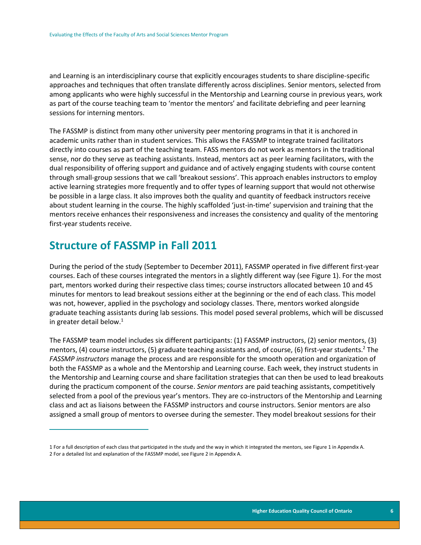and Learning is an interdisciplinary course that explicitly encourages students to share discipline-specific approaches and techniques that often translate differently across disciplines. Senior mentors, selected from among applicants who were highly successful in the Mentorship and Learning course in previous years, work as part of the course teaching team to 'mentor the mentors' and facilitate debriefing and peer learning sessions for interning mentors.

The FASSMP is distinct from many other university peer mentoring programs in that it is anchored in academic units rather than in student services. This allows the FASSMP to integrate trained facilitators directly into courses as part of the teaching team. FASS mentors do not work as mentors in the traditional sense, nor do they serve as teaching assistants. Instead, mentors act as peer learning facilitators, with the dual responsibility of offering support and guidance and of actively engaging students with course content through small-group sessions that we call 'breakout sessions'. This approach enables instructors to employ active learning strategies more frequently and to offer types of learning support that would not otherwise be possible in a large class. It also improves both the quality and quantity of feedback instructors receive about student learning in the course. The highly scaffolded 'just-in-time' supervision and training that the mentors receive enhances their responsiveness and increases the consistency and quality of the mentoring first-year students receive.

### <span id="page-6-0"></span>**Structure of FASSMP in Fall 2011**

 $\overline{a}$ 

During the period of the study (September to December 2011), FASSMP operated in five different first-year courses. Each of these courses integrated the mentors in a slightly different way (see Figure 1). For the most part, mentors worked during their respective class times; course instructors allocated between 10 and 45 minutes for mentors to lead breakout sessions either at the beginning or the end of each class. This model was not, however, applied in the psychology and sociology classes. There, mentors worked alongside graduate teaching assistants during lab sessions. This model posed several problems, which will be discussed in greater detail below. 1

The FASSMP team model includes six different participants: (1) FASSMP instructors, (2) senior mentors, (3) mentors, (4) course instructors, (5) graduate teaching assistants and, of course, (6) first-year students.<sup>2</sup> The *FASSMP instructors* manage the process and are responsible for the smooth operation and organization of both the FASSMP as a whole and the Mentorship and Learning course. Each week, they instruct students in the Mentorship and Learning course and share facilitation strategies that can then be used to lead breakouts during the practicum component of the course. *Senior mentors* are paid teaching assistants, competitively selected from a pool of the previous year's mentors. They are co-instructors of the Mentorship and Learning class and act as liaisons between the FASSMP instructors and course instructors. Senior mentors are also assigned a small group of mentors to oversee during the semester. They model breakout sessions for their

<sup>1</sup> For a full description of each class that participated in the study and the way in which it integrated the mentors, see Figure 1 in Appendix A. 2 For a detailed list and explanation of the FASSMP model, see Figure 2 in Appendix A.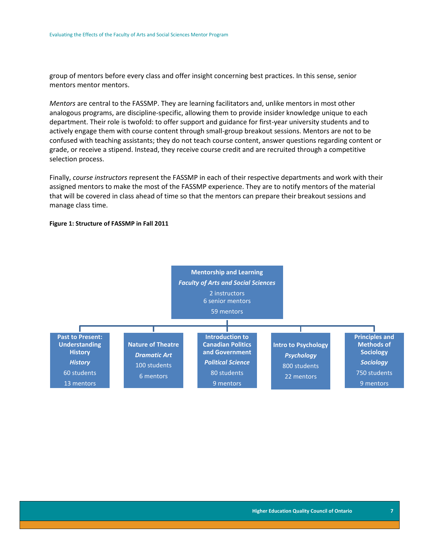group of mentors before every class and offer insight concerning best practices. In this sense, senior mentors mentor mentors.

*Mentors* are central to the FASSMP. They are learning facilitators and, unlike mentors in most other analogous programs, are discipline-specific, allowing them to provide insider knowledge unique to each department. Their role is twofold: to offer support and guidance for first-year university students and to actively engage them with course content through small-group breakout sessions. Mentors are not to be confused with teaching assistants; they do not teach course content, answer questions regarding content or grade, or receive a stipend. Instead, they receive course credit and are recruited through a competitive selection process.

Finally, *course instructors* represent the FASSMP in each of their respective departments and work with their assigned mentors to make the most of the FASSMP experience. They are to notify mentors of the material that will be covered in class ahead of time so that the mentors can prepare their breakout sessions and manage class time.

#### <span id="page-7-1"></span>**Figure 1: Structure of FASSMP in Fall 2011**

<span id="page-7-0"></span>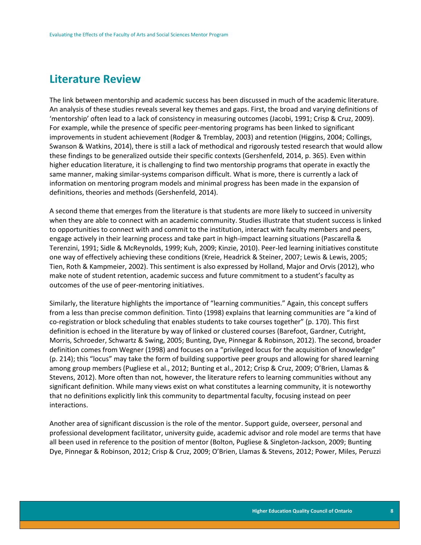### **Literature Review**

The link between mentorship and academic success has been discussed in much of the academic literature. An analysis of these studies reveals several key themes and gaps. First, the broad and varying definitions of 'mentorship' often lead to a lack of consistency in measuring outcomes (Jacobi, 1991; Crisp & Cruz, 2009). For example, while the presence of specific peer-mentoring programs has been linked to significant improvements in student achievement (Rodger & Tremblay, 2003) and retention (Higgins, 2004; Collings, Swanson & Watkins, 2014), there is still a lack of methodical and rigorously tested research that would allow these findings to be generalized outside their specific contexts (Gershenfeld, 2014, p. 365). Even within higher education literature, it is challenging to find two mentorship programs that operate in exactly the same manner, making similar-systems comparison difficult. What is more, there is currently a lack of information on mentoring program models and minimal progress has been made in the expansion of definitions, theories and methods (Gershenfeld, 2014).

A second theme that emerges from the literature is that students are more likely to succeed in university when they are able to connect with an academic community. Studies illustrate that student success is linked to opportunities to connect with and commit to the institution, interact with faculty members and peers, engage actively in their learning process and take part in high-impact learning situations (Pascarella & Terenzini, 1991; Sidle & McReynolds, 1999; Kuh, 2009; Kinzie, 2010). Peer-led learning initiatives constitute one way of effectively achieving these conditions (Kreie, Headrick & Steiner, 2007; Lewis & Lewis, 2005; Tien, Roth & Kampmeier, 2002). This sentiment is also expressed by Holland, Major and Orvis (2012), who make note of student retention, academic success and future commitment to a student's faculty as outcomes of the use of peer-mentoring initiatives.

Similarly, the literature highlights the importance of "learning communities." Again, this concept suffers from a less than precise common definition. Tinto (1998) explains that learning communities are "a kind of co-registration or block scheduling that enables students to take courses together" (p. 170). This first definition is echoed in the literature by way of linked or clustered courses (Barefoot, Gardner, Cutright, Morris, Schroeder, Schwartz & Swing, 2005; Bunting, Dye, Pinnegar & Robinson, 2012). The second, broader definition comes from Wegner (1998) and focuses on a "privileged locus for the acquisition of knowledge" (p. 214); this "locus" may take the form of building supportive peer groups and allowing for shared learning among group members (Pugliese et al., 2012; Bunting et al., 2012; Crisp & Cruz, 2009; O'Brien, Llamas & Stevens, 2012). More often than not, however, the literature refers to learning communities without any significant definition. While many views exist on what constitutes a learning community, it is noteworthy that no definitions explicitly link this community to departmental faculty, focusing instead on peer interactions.

Another area of significant discussion is the role of the mentor. Support guide, overseer, personal and professional development facilitator, university guide, academic advisor and role model are terms that have all been used in reference to the position of mentor (Bolton, Pugliese & Singleton-Jackson, 2009; Bunting Dye, Pinnegar & Robinson, 2012; Crisp & Cruz, 2009; O'Brien, Llamas & Stevens, 2012; Power, Miles, Peruzzi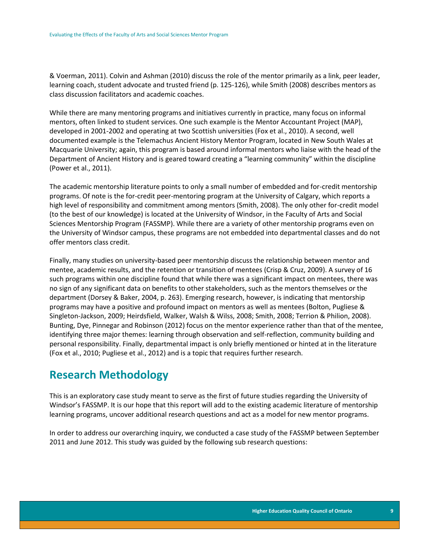& Voerman, 2011). Colvin and Ashman (2010) discuss the role of the mentor primarily as a link, peer leader, learning coach, student advocate and trusted friend (p. 125-126), while Smith (2008) describes mentors as class discussion facilitators and academic coaches.

While there are many mentoring programs and initiatives currently in practice, many focus on informal mentors, often linked to student services. One such example is the Mentor Accountant Project (MAP), developed in 2001-2002 and operating at two Scottish universities (Fox et al., 2010). A second, well documented example is the Telemachus Ancient History Mentor Program, located in New South Wales at Macquarie University; again, this program is based around informal mentors who liaise with the head of the Department of Ancient History and is geared toward creating a "learning community" within the discipline (Power et al., 2011).

The academic mentorship literature points to only a small number of embedded and for-credit mentorship programs. Of note is the for-credit peer-mentoring program at the University of Calgary, which reports a high level of responsibility and commitment among mentors (Smith, 2008). The only other for-credit model (to the best of our knowledge) is located at the University of Windsor, in the Faculty of Arts and Social Sciences Mentorship Program (FASSMP). While there are a variety of other mentorship programs even on the University of Windsor campus, these programs are not embedded into departmental classes and do not offer mentors class credit.

Finally, many studies on university-based peer mentorship discuss the relationship between mentor and mentee, academic results, and the retention or transition of mentees (Crisp & Cruz, 2009). A survey of 16 such programs within one discipline found that while there was a significant impact on mentees, there was no sign of any significant data on benefits to other stakeholders, such as the mentors themselves or the department (Dorsey & Baker, 2004, p. 263). Emerging research, however, is indicating that mentorship programs may have a positive and profound impact on mentors as well as mentees (Bolton, Pugliese & Singleton-Jackson, 2009; Heirdsfield, Walker, Walsh & Wilss, 2008; Smith, 2008; Terrion & Philion, 2008). Bunting, Dye, Pinnegar and Robinson (2012) focus on the mentor experience rather than that of the mentee, identifying three major themes: learning through observation and self-reflection, community building and personal responsibility. Finally, departmental impact is only briefly mentioned or hinted at in the literature (Fox et al., 2010; Pugliese et al., 2012) and is a topic that requires further research.

### <span id="page-9-0"></span>**Research Methodology**

This is an exploratory case study meant to serve as the first of future studies regarding the University of Windsor's FASSMP. It is our hope that this report will add to the existing academic literature of mentorship learning programs, uncover additional research questions and act as a model for new mentor programs.

In order to address our overarching inquiry, we conducted a case study of the FASSMP between September 2011 and June 2012. This study was guided by the following sub research questions: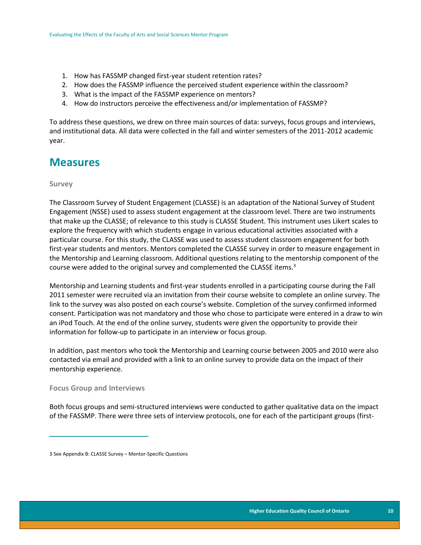- 1. How has FASSMP changed first-year student retention rates?
- 2. How does the FASSMP influence the perceived student experience within the classroom?
- 3. What is the impact of the FASSMP experience on mentors?
- 4. How do instructors perceive the effectiveness and/or implementation of FASSMP?

To address these questions, we drew on three main sources of data: surveys, focus groups and interviews, and institutional data. All data were collected in the fall and winter semesters of the 2011-2012 academic year.

### <span id="page-10-0"></span>**Measures**

### <span id="page-10-1"></span>**Survey**

The Classroom Survey of Student Engagement (CLASSE) is an adaptation of the National Survey of Student Engagement (NSSE) used to assess student engagement at the classroom level. There are two instruments that make up the CLASSE; of relevance to this study is CLASSE Student. This instrument uses Likert scales to explore the frequency with which students engage in various educational activities associated with a particular course. For this study, the CLASSE was used to assess student classroom engagement for both first-year students and mentors. Mentors completed the CLASSE survey in order to measure engagement in the Mentorship and Learning classroom. Additional questions relating to the mentorship component of the course were added to the original survey and complemented the CLASSE items.<sup>3</sup>

Mentorship and Learning students and first-year students enrolled in a participating course during the Fall 2011 semester were recruited via an invitation from their course website to complete an online survey. The link to the survey was also posted on each course's website. Completion of the survey confirmed informed consent. Participation was not mandatory and those who chose to participate were entered in a draw to win an iPod Touch. At the end of the online survey, students were given the opportunity to provide their information for follow-up to participate in an interview or focus group.

In addition, past mentors who took the Mentorship and Learning course between 2005 and 2010 were also contacted via email and provided with a link to an online survey to provide data on the impact of their mentorship experience.

### <span id="page-10-2"></span>**Focus Group and Interviews**

 $\overline{a}$ 

Both focus groups and semi-structured interviews were conducted to gather qualitative data on the impact of the FASSMP. There were three sets of interview protocols, one for each of the participant groups (first-

<sup>3</sup> See Appendix B: CLASSE Survey – Mentor-Specific Questions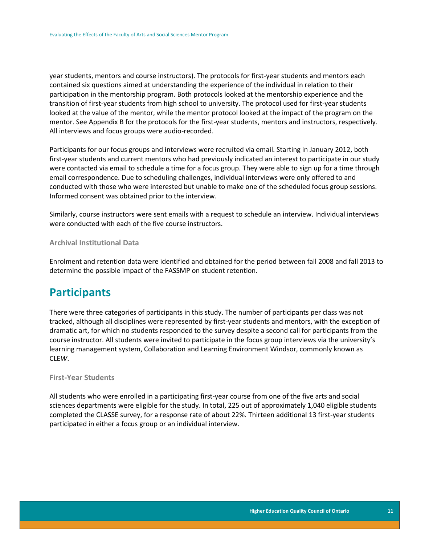year students, mentors and course instructors). The protocols for first-year students and mentors each contained six questions aimed at understanding the experience of the individual in relation to their participation in the mentorship program. Both protocols looked at the mentorship experience and the transition of first-year students from high school to university. The protocol used for first-year students looked at the value of the mentor, while the mentor protocol looked at the impact of the program on the mentor. See Appendix B for the protocols for the first-year students, mentors and instructors, respectively. All interviews and focus groups were audio-recorded.

Participants for our focus groups and interviews were recruited via email. Starting in January 2012, both first-year students and current mentors who had previously indicated an interest to participate in our study were contacted via email to schedule a time for a focus group. They were able to sign up for a time through email correspondence. Due to scheduling challenges, individual interviews were only offered to and conducted with those who were interested but unable to make one of the scheduled focus group sessions. Informed consent was obtained prior to the interview.

Similarly, course instructors were sent emails with a request to schedule an interview. Individual interviews were conducted with each of the five course instructors.

### <span id="page-11-0"></span>**Archival Institutional Data**

Enrolment and retention data were identified and obtained for the period between fall 2008 and fall 2013 to determine the possible impact of the FASSMP on student retention.

### <span id="page-11-1"></span>**Participants**

There were three categories of participants in this study. The number of participants per class was not tracked, although all disciplines were represented by first-year students and mentors, with the exception of dramatic art, for which no students responded to the survey despite a second call for participants from the course instructor. All students were invited to participate in the focus group interviews via the university's learning management system, Collaboration and Learning Environment Windsor, commonly known as CLE*W*.

#### <span id="page-11-2"></span>**First-Year Students**

<span id="page-11-3"></span>All students who were enrolled in a participating first-year course from one of the five arts and social sciences departments were eligible for the study. In total, 225 out of approximately 1,040 eligible students completed the CLASSE survey, for a response rate of about 22%. Thirteen additional 13 first-year students participated in either a focus group or an individual interview.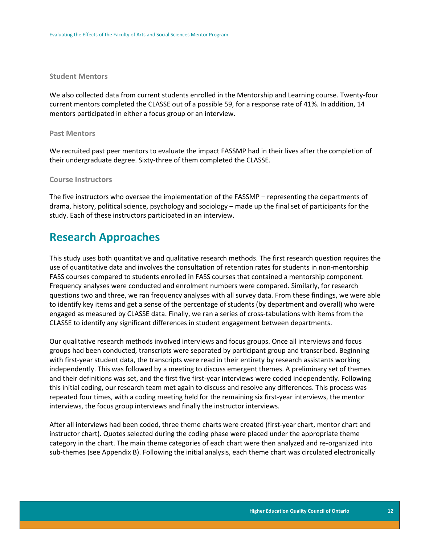#### **Student Mentors**

We also collected data from current students enrolled in the Mentorship and Learning course. Twenty-four current mentors completed the CLASSE out of a possible 59, for a response rate of 41%. In addition, 14 mentors participated in either a focus group or an interview.

#### <span id="page-12-0"></span>**Past Mentors**

We recruited past peer mentors to evaluate the impact FASSMP had in their lives after the completion of their undergraduate degree. Sixty-three of them completed the CLASSE.

#### <span id="page-12-1"></span>**Course Instructors**

The five instructors who oversee the implementation of the FASSMP – representing the departments of drama, history, political science, psychology and sociology – made up the final set of participants for the study. Each of these instructors participated in an interview.

### <span id="page-12-2"></span>**Research Approaches**

This study uses both quantitative and qualitative research methods. The first research question requires the use of quantitative data and involves the consultation of retention rates for students in non-mentorship FASS courses compared to students enrolled in FASS courses that contained a mentorship component. Frequency analyses were conducted and enrolment numbers were compared. Similarly, for research questions two and three, we ran frequency analyses with all survey data. From these findings, we were able to identify key items and get a sense of the percentage of students (by department and overall) who were engaged as measured by CLASSE data. Finally, we ran a series of cross-tabulations with items from the CLASSE to identify any significant differences in student engagement between departments.

Our qualitative research methods involved interviews and focus groups. Once all interviews and focus groups had been conducted, transcripts were separated by participant group and transcribed. Beginning with first-year student data, the transcripts were read in their entirety by research assistants working independently. This was followed by a meeting to discuss emergent themes. A preliminary set of themes and their definitions was set, and the first five first-year interviews were coded independently. Following this initial coding, our research team met again to discuss and resolve any differences. This process was repeated four times, with a coding meeting held for the remaining six first-year interviews, the mentor interviews, the focus group interviews and finally the instructor interviews.

After all interviews had been coded, three theme charts were created (first-year chart, mentor chart and instructor chart). Quotes selected during the coding phase were placed under the appropriate theme category in the chart. The main theme categories of each chart were then analyzed and re-organized into sub-themes (see Appendix B). Following the initial analysis, each theme chart was circulated electronically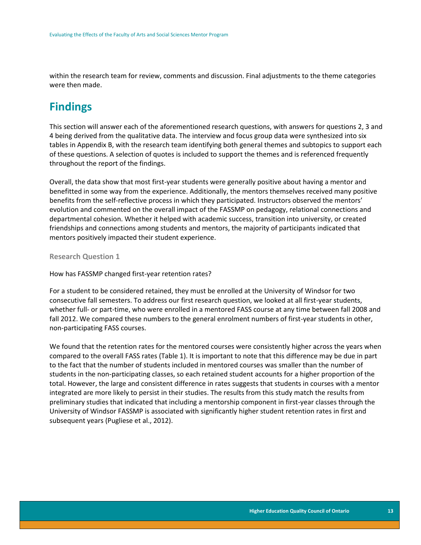within the research team for review, comments and discussion. Final adjustments to the theme categories were then made.

### <span id="page-13-0"></span>**Findings**

This section will answer each of the aforementioned research questions, with answers for questions 2, 3 and 4 being derived from the qualitative data. The interview and focus group data were synthesized into six tables in Appendix B, with the research team identifying both general themes and subtopics to support each of these questions. A selection of quotes is included to support the themes and is referenced frequently throughout the report of the findings.

Overall, the data show that most first-year students were generally positive about having a mentor and benefitted in some way from the experience. Additionally, the mentors themselves received many positive benefits from the self-reflective process in which they participated. Instructors observed the mentors' evolution and commented on the overall impact of the FASSMP on pedagogy, relational connections and departmental cohesion. Whether it helped with academic success, transition into university, or created friendships and connections among students and mentors, the majority of participants indicated that mentors positively impacted their student experience.

<span id="page-13-1"></span>**Research Question 1**

How has FASSMP changed first-year retention rates?

For a student to be considered retained, they must be enrolled at the University of Windsor for two consecutive fall semesters. To address our first research question, we looked at all first-year students, whether full- or part-time, who were enrolled in a mentored FASS course at any time between fall 2008 and fall 2012. We compared these numbers to the general enrolment numbers of first-year students in other, non-participating FASS courses.

We found that the retention rates for the mentored courses were consistently higher across the years when compared to the overall FASS rates (Table 1). It is important to note that this difference may be due in part to the fact that the number of students included in mentored courses was smaller than the number of students in the non-participating classes, so each retained student accounts for a higher proportion of the total. However, the large and consistent difference in rates suggests that students in courses with a mentor integrated are more likely to persist in their studies. The results from this study match the results from preliminary studies that indicated that including a mentorship component in first-year classes through the University of Windsor FASSMP is associated with significantly higher student retention rates in first and subsequent years (Pugliese et al., 2012).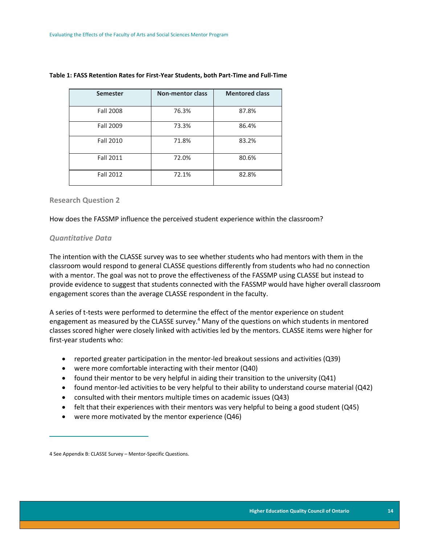| <b>Semester</b>  | <b>Non-mentor class</b> | <b>Mentored class</b> |
|------------------|-------------------------|-----------------------|
| <b>Fall 2008</b> | 76.3%                   | 87.8%                 |
| <b>Fall 2009</b> | 73.3%                   | 86.4%                 |
| <b>Fall 2010</b> | 71.8%                   | 83.2%                 |
| <b>Fall 2011</b> | 72.0%                   | 80.6%                 |
| <b>Fall 2012</b> | 72.1%                   | 82.8%                 |

#### <span id="page-14-2"></span>**Table 1: FASS Retention Rates for First-Year Students, both Part-Time and Full-Time**

### <span id="page-14-0"></span>**Research Question 2**

How does the FASSMP influence the perceived student experience within the classroom?

#### <span id="page-14-1"></span>*Quantitative Data*

 $\overline{a}$ 

The intention with the CLASSE survey was to see whether students who had mentors with them in the classroom would respond to general CLASSE questions differently from students who had no connection with a mentor. The goal was not to prove the effectiveness of the FASSMP using CLASSE but instead to provide evidence to suggest that students connected with the FASSMP would have higher overall classroom engagement scores than the average CLASSE respondent in the faculty.

A series of t-tests were performed to determine the effect of the mentor experience on student engagement as measured by the CLASSE survey.<sup>4</sup> Many of the questions on which students in mentored classes scored higher were closely linked with activities led by the mentors. CLASSE items were higher for first-year students who:

- reported greater participation in the mentor-led breakout sessions and activities (Q39)
- were more comfortable interacting with their mentor (Q40)
- found their mentor to be very helpful in aiding their transition to the university  $(Q41)$
- found mentor-led activities to be very helpful to their ability to understand course material (Q42)
- consulted with their mentors multiple times on academic issues (Q43)
- $\bullet$  felt that their experiences with their mentors was very helpful to being a good student (Q45)
- were more motivated by the mentor experience (Q46)

<sup>4</sup> See Appendix B: CLASSE Survey – Mentor-Specific Questions.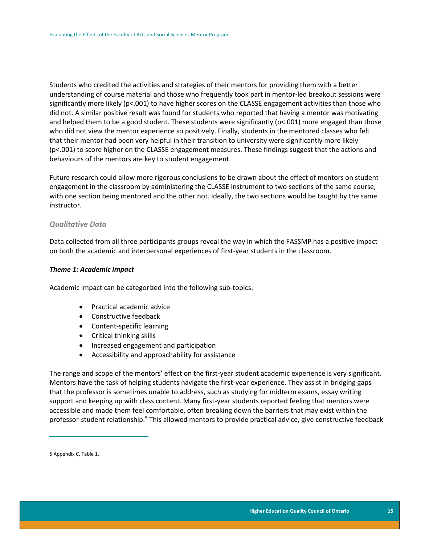Students who credited the activities and strategies of their mentors for providing them with a better understanding of course material and those who frequently took part in mentor-led breakout sessions were significantly more likely (p<.001) to have higher scores on the CLASSE engagement activities than those who did not. A similar positive result was found for students who reported that having a mentor was motivating and helped them to be a good student. These students were significantly ( $p<$ -.001) more engaged than those who did not view the mentor experience so positively. Finally, students in the mentored classes who felt that their mentor had been very helpful in their transition to university were significantly more likely (p<.001) to score higher on the CLASSE engagement measures. These findings suggest that the actions and behaviours of the mentors are key to student engagement.

Future research could allow more rigorous conclusions to be drawn about the effect of mentors on student engagement in the classroom by administering the CLASSE instrument to two sections of the same course, with one section being mentored and the other not. Ideally, the two sections would be taught by the same instructor.

### <span id="page-15-0"></span>*Qualitative Data*

Data collected from all three participants groups reveal the way in which the FASSMP has a positive impact on both the academic and interpersonal experiences of first-year students in the classroom.

#### *Theme 1: Academic Impact*

Academic impact can be categorized into the following sub-topics:

- Practical academic advice
- Constructive feedback
- Content-specific learning
- Critical thinking skills
- Increased engagement and participation
- Accessibility and approachability for assistance

The range and scope of the mentors' effect on the first-year student academic experience is very significant. Mentors have the task of helping students navigate the first-year experience. They assist in bridging gaps that the professor is sometimes unable to address, such as studying for midterm exams, essay writing support and keeping up with class content. Many first-year students reported feeling that mentors were accessible and made them feel comfortable, often breaking down the barriers that may exist within the professor-student relationship.<sup>5</sup> This allowed mentors to provide practical advice, give constructive feedback

<sup>5</sup> Appendix C, Table 1.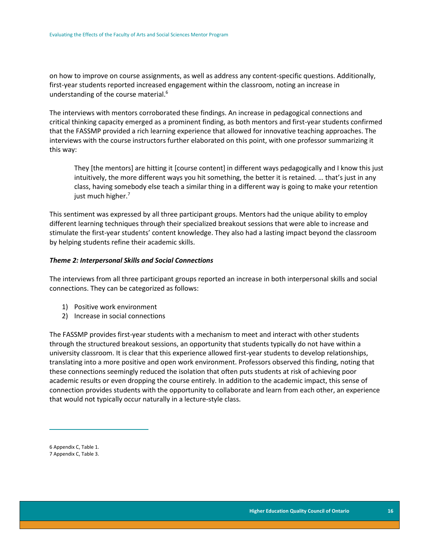on how to improve on course assignments, as well as address any content-specific questions. Additionally, first-year students reported increased engagement within the classroom, noting an increase in understanding of the course material.<sup>6</sup>

The interviews with mentors corroborated these findings. An increase in pedagogical connections and critical thinking capacity emerged as a prominent finding, as both mentors and first-year students confirmed that the FASSMP provided a rich learning experience that allowed for innovative teaching approaches. The interviews with the course instructors further elaborated on this point, with one professor summarizing it this way:

They [the mentors] are hitting it [course content] in different ways pedagogically and I know this just intuitively, the more different ways you hit something, the better it is retained. … that's just in any class, having somebody else teach a similar thing in a different way is going to make your retention just much higher. $7$ 

This sentiment was expressed by all three participant groups. Mentors had the unique ability to employ different learning techniques through their specialized breakout sessions that were able to increase and stimulate the first-year students' content knowledge. They also had a lasting impact beyond the classroom by helping students refine their academic skills.

### *Theme 2: Interpersonal Skills and Social Connections*

The interviews from all three participant groups reported an increase in both interpersonal skills and social connections. They can be categorized as follows:

- 1) Positive work environment
- 2) Increase in social connections

The FASSMP provides first-year students with a mechanism to meet and interact with other students through the structured breakout sessions, an opportunity that students typically do not have within a university classroom. It is clear that this experience allowed first-year students to develop relationships, translating into a more positive and open work environment. Professors observed this finding, noting that these connections seemingly reduced the isolation that often puts students at risk of achieving poor academic results or even dropping the course entirely. In addition to the academic impact, this sense of connection provides students with the opportunity to collaborate and learn from each other, an experience that would not typically occur naturally in a lecture-style class.

<sup>6</sup> Appendix C, Table 1.

<sup>7</sup> Appendix C, Table 3.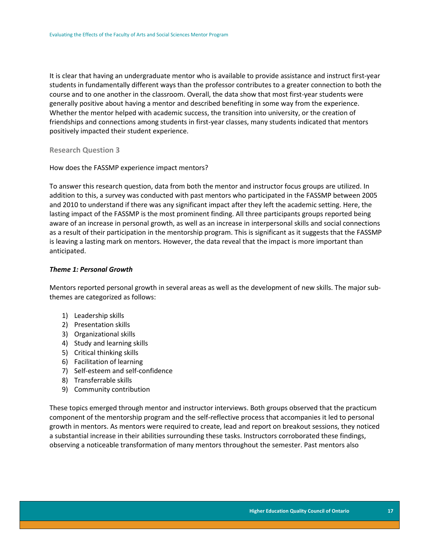It is clear that having an undergraduate mentor who is available to provide assistance and instruct first-year students in fundamentally different ways than the professor contributes to a greater connection to both the course and to one another in the classroom. Overall, the data show that most first-year students were generally positive about having a mentor and described benefiting in some way from the experience. Whether the mentor helped with academic success, the transition into university, or the creation of friendships and connections among students in first-year classes, many students indicated that mentors positively impacted their student experience.

<span id="page-17-0"></span>**Research Question 3**

How does the FASSMP experience impact mentors?

To answer this research question, data from both the mentor and instructor focus groups are utilized. In addition to this, a survey was conducted with past mentors who participated in the FASSMP between 2005 and 2010 to understand if there was any significant impact after they left the academic setting. Here, the lasting impact of the FASSMP is the most prominent finding. All three participants groups reported being aware of an increase in personal growth, as well as an increase in interpersonal skills and social connections as a result of their participation in the mentorship program. This is significant as it suggests that the FASSMP is leaving a lasting mark on mentors. However, the data reveal that the impact is more important than anticipated.

#### *Theme 1: Personal Growth*

Mentors reported personal growth in several areas as well as the development of new skills. The major subthemes are categorized as follows:

- 1) Leadership skills
- 2) Presentation skills
- 3) Organizational skills
- 4) Study and learning skills
- 5) Critical thinking skills
- 6) Facilitation of learning
- 7) Self-esteem and self-confidence
- 8) Transferrable skills
- 9) Community contribution

These topics emerged through mentor and instructor interviews. Both groups observed that the practicum component of the mentorship program and the self-reflective process that accompanies it led to personal growth in mentors. As mentors were required to create, lead and report on breakout sessions, they noticed a substantial increase in their abilities surrounding these tasks. Instructors corroborated these findings, observing a noticeable transformation of many mentors throughout the semester. Past mentors also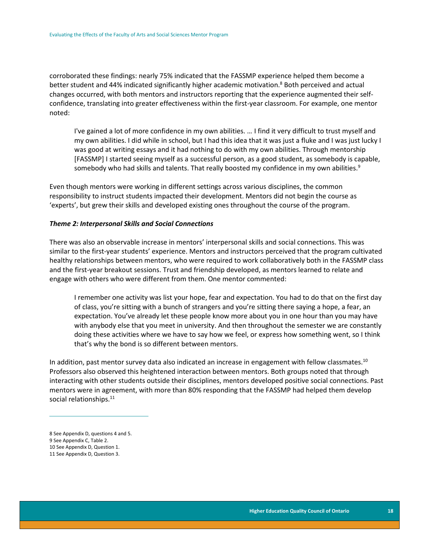corroborated these findings: nearly 75% indicated that the FASSMP experience helped them become a better student and 44% indicated significantly higher academic motivation.<sup>8</sup> Both perceived and actual changes occurred, with both mentors and instructors reporting that the experience augmented their selfconfidence, translating into greater effectiveness within the first-year classroom. For example, one mentor noted:

I've gained a lot of more confidence in my own abilities. … I find it very difficult to trust myself and my own abilities. I did while in school, but I had this idea that it was just a fluke and I was just lucky I was good at writing essays and it had nothing to do with my own abilities. Through mentorship [FASSMP] I started seeing myself as a successful person, as a good student, as somebody is capable, somebody who had skills and talents. That really boosted my confidence in my own abilities. $9$ 

Even though mentors were working in different settings across various disciplines, the common responsibility to instruct students impacted their development. Mentors did not begin the course as 'experts', but grew their skills and developed existing ones throughout the course of the program.

#### *Theme 2: Interpersonal Skills and Social Connections*

There was also an observable increase in mentors' interpersonal skills and social connections. This was similar to the first-year students' experience. Mentors and instructors perceived that the program cultivated healthy relationships between mentors, who were required to work collaboratively both in the FASSMP class and the first-year breakout sessions. Trust and friendship developed, as mentors learned to relate and engage with others who were different from them. One mentor commented:

I remember one activity was list your hope, fear and expectation. You had to do that on the first day of class, you're sitting with a bunch of strangers and you're sitting there saying a hope, a fear, an expectation. You've already let these people know more about you in one hour than you may have with anybody else that you meet in university. And then throughout the semester we are constantly doing these activities where we have to say how we feel, or express how something went, so I think that's why the bond is so different between mentors.

In addition, past mentor survey data also indicated an increase in engagement with fellow classmates.<sup>10</sup> Professors also observed this heightened interaction between mentors. Both groups noted that through interacting with other students outside their disciplines, mentors developed positive social connections. Past mentors were in agreement, with more than 80% responding that the FASSMP had helped them develop social relationships.<sup>11</sup>

<sup>8</sup> See Appendix D, questions 4 and 5.

<sup>9</sup> See Appendix C, Table 2.

<sup>10</sup> See Appendix D, Question 1.

<sup>11</sup> See Appendix D, Question 3.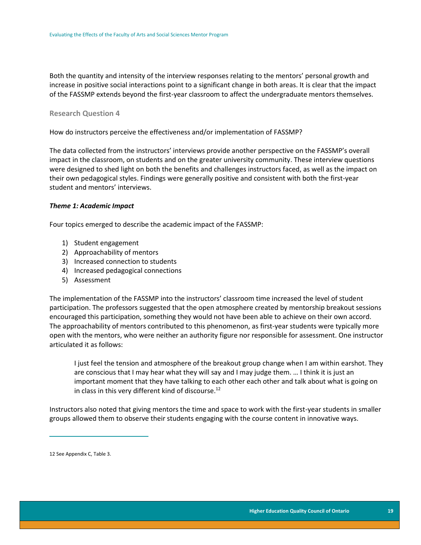Both the quantity and intensity of the interview responses relating to the mentors' personal growth and increase in positive social interactions point to a significant change in both areas. It is clear that the impact of the FASSMP extends beyond the first-year classroom to affect the undergraduate mentors themselves.

### <span id="page-19-0"></span>**Research Question 4**

How do instructors perceive the effectiveness and/or implementation of FASSMP?

The data collected from the instructors' interviews provide another perspective on the FASSMP's overall impact in the classroom, on students and on the greater university community. These interview questions were designed to shed light on both the benefits and challenges instructors faced, as well as the impact on their own pedagogical styles. Findings were generally positive and consistent with both the first-year student and mentors' interviews.

### *Theme 1: Academic Impact*

Four topics emerged to describe the academic impact of the FASSMP:

- 1) Student engagement
- 2) Approachability of mentors
- 3) Increased connection to students
- 4) Increased pedagogical connections
- 5) Assessment

The implementation of the FASSMP into the instructors' classroom time increased the level of student participation. The professors suggested that the open atmosphere created by mentorship breakout sessions encouraged this participation, something they would not have been able to achieve on their own accord. The approachability of mentors contributed to this phenomenon, as first-year students were typically more open with the mentors, who were neither an authority figure nor responsible for assessment. One instructor articulated it as follows:

I just feel the tension and atmosphere of the breakout group change when I am within earshot. They are conscious that I may hear what they will say and I may judge them. … I think it is just an important moment that they have talking to each other each other and talk about what is going on in class in this very different kind of discourse.<sup>12</sup>

Instructors also noted that giving mentors the time and space to work with the first-year students in smaller groups allowed them to observe their students engaging with the course content in innovative ways.

<sup>12</sup> See Appendix C, Table 3.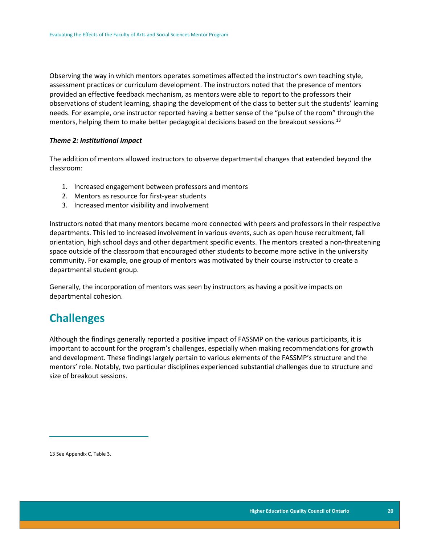Observing the way in which mentors operates sometimes affected the instructor's own teaching style, assessment practices or curriculum development. The instructors noted that the presence of mentors provided an effective feedback mechanism, as mentors were able to report to the professors their observations of student learning, shaping the development of the class to better suit the students' learning needs. For example, one instructor reported having a better sense of the "pulse of the room" through the mentors, helping them to make better pedagogical decisions based on the breakout sessions.<sup>13</sup>

### *Theme 2: Institutional Impact*

The addition of mentors allowed instructors to observe departmental changes that extended beyond the classroom:

- 1. Increased engagement between professors and mentors
- 2. Mentors as resource for first-year students
- 3. Increased mentor visibility and involvement

Instructors noted that many mentors became more connected with peers and professors in their respective departments. This led to increased involvement in various events, such as open house recruitment, fall orientation, high school days and other department specific events. The mentors created a non-threatening space outside of the classroom that encouraged other students to become more active in the university community. For example, one group of mentors was motivated by their course instructor to create a departmental student group.

Generally, the incorporation of mentors was seen by instructors as having a positive impacts on departmental cohesion.

## <span id="page-20-0"></span>**Challenges**

<span id="page-20-1"></span>Although the findings generally reported a positive impact of FASSMP on the various participants, it is important to account for the program's challenges, especially when making recommendations for growth and development. These findings largely pertain to various elements of the FASSMP's structure and the mentors' role. Notably, two particular disciplines experienced substantial challenges due to structure and size of breakout sessions.

13 See Appendix C, Table 3.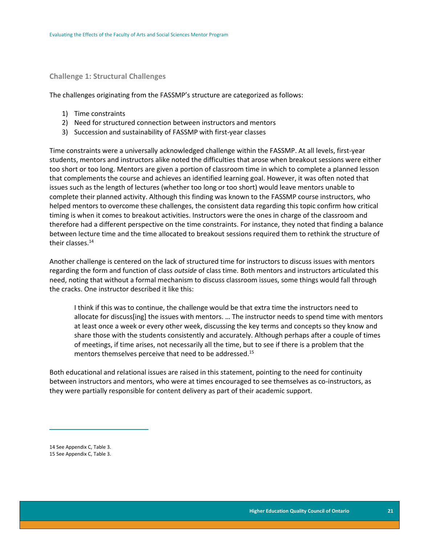### **Challenge 1: Structural Challenges**

The challenges originating from the FASSMP's structure are categorized as follows:

- 1) Time constraints
- 2) Need for structured connection between instructors and mentors
- 3) Succession and sustainability of FASSMP with first-year classes

Time constraints were a universally acknowledged challenge within the FASSMP. At all levels, first-year students, mentors and instructors alike noted the difficulties that arose when breakout sessions were either too short or too long. Mentors are given a portion of classroom time in which to complete a planned lesson that complements the course and achieves an identified learning goal. However, it was often noted that issues such as the length of lectures (whether too long or too short) would leave mentors unable to complete their planned activity. Although this finding was known to the FASSMP course instructors, who helped mentors to overcome these challenges, the consistent data regarding this topic confirm how critical timing is when it comes to breakout activities. Instructors were the ones in charge of the classroom and therefore had a different perspective on the time constraints. For instance, they noted that finding a balance between lecture time and the time allocated to breakout sessions required them to rethink the structure of their classes.<sup>14</sup>

Another challenge is centered on the lack of structured time for instructors to discuss issues with mentors regarding the form and function of class *outside* of class time. Both mentors and instructors articulated this need, noting that without a formal mechanism to discuss classroom issues, some things would fall through the cracks. One instructor described it like this:

I think if this was to continue, the challenge would be that extra time the instructors need to allocate for discuss[ing] the issues with mentors. … The instructor needs to spend time with mentors at least once a week or every other week, discussing the key terms and concepts so they know and share those with the students consistently and accurately. Although perhaps after a couple of times of meetings, if time arises, not necessarily all the time, but to see if there is a problem that the mentors themselves perceive that need to be addressed.<sup>15</sup>

Both educational and relational issues are raised in this statement, pointing to the need for continuity between instructors and mentors, who were at times encouraged to see themselves as co-instructors, as they were partially responsible for content delivery as part of their academic support.

14 See Appendix C, Table 3.

 $\overline{a}$ 

15 See Appendix C, Table 3.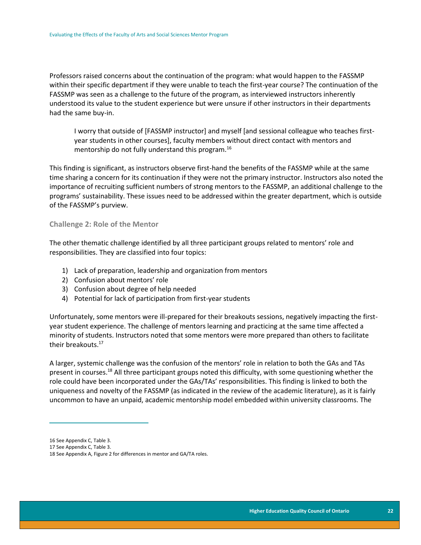Professors raised concerns about the continuation of the program: what would happen to the FASSMP within their specific department if they were unable to teach the first-year course? The continuation of the FASSMP was seen as a challenge to the future of the program, as interviewed instructors inherently understood its value to the student experience but were unsure if other instructors in their departments had the same buy-in.

I worry that outside of [FASSMP instructor] and myself [and sessional colleague who teaches firstyear students in other courses], faculty members without direct contact with mentors and mentorship do not fully understand this program.<sup>16</sup>

This finding is significant, as instructors observe first-hand the benefits of the FASSMP while at the same time sharing a concern for its continuation if they were not the primary instructor. Instructors also noted the importance of recruiting sufficient numbers of strong mentors to the FASSMP, an additional challenge to the programs' sustainability. These issues need to be addressed within the greater department, which is outside of the FASSMP's purview.

#### <span id="page-22-0"></span>**Challenge 2: Role of the Mentor**

The other thematic challenge identified by all three participant groups related to mentors' role and responsibilities. They are classified into four topics:

- 1) Lack of preparation, leadership and organization from mentors
- 2) Confusion about mentors' role
- 3) Confusion about degree of help needed
- 4) Potential for lack of participation from first-year students

Unfortunately, some mentors were ill-prepared for their breakouts sessions, negatively impacting the firstyear student experience. The challenge of mentors learning and practicing at the same time affected a minority of students. Instructors noted that some mentors were more prepared than others to facilitate their breakouts.<sup>17</sup>

A larger, systemic challenge was the confusion of the mentors' role in relation to both the GAs and TAs present in courses.<sup>18</sup> All three participant groups noted this difficulty, with some questioning whether the role could have been incorporated under the GAs/TAs' responsibilities. This finding is linked to both the uniqueness and novelty of the FASSMP (as indicated in the review of the academic literature), as it is fairly uncommon to have an unpaid, academic mentorship model embedded within university classrooms. The

<sup>16</sup> See Appendix C, Table 3.

<sup>17</sup> See Appendix C, Table 3.

<sup>18</sup> See Appendix A, Figure 2 for differences in mentor and GA/TA roles.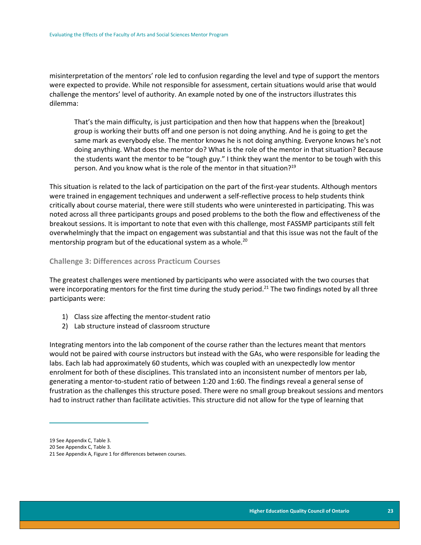misinterpretation of the mentors' role led to confusion regarding the level and type of support the mentors were expected to provide. While not responsible for assessment, certain situations would arise that would challenge the mentors' level of authority. An example noted by one of the instructors illustrates this dilemma:

That's the main difficulty, is just participation and then how that happens when the [breakout] group is working their butts off and one person is not doing anything. And he is going to get the same mark as everybody else. The mentor knows he is not doing anything. Everyone knows he's not doing anything. What does the mentor do? What is the role of the mentor in that situation? Because the students want the mentor to be "tough guy." I think they want the mentor to be tough with this person. And you know what is the role of the mentor in that situation?<sup>19</sup>

This situation is related to the lack of participation on the part of the first-year students. Although mentors were trained in engagement techniques and underwent a self-reflective process to help students think critically about course material, there were still students who were uninterested in participating. This was noted across all three participants groups and posed problems to the both the flow and effectiveness of the breakout sessions. It is important to note that even with this challenge, most FASSMP participants still felt overwhelmingly that the impact on engagement was substantial and that this issue was not the fault of the mentorship program but of the educational system as a whole.<sup>20</sup>

#### <span id="page-23-0"></span>**Challenge 3: Differences across Practicum Courses**

The greatest challenges were mentioned by participants who were associated with the two courses that were incorporating mentors for the first time during the study period.<sup>21</sup> The two findings noted by all three participants were:

- 1) Class size affecting the mentor-student ratio
- 2) Lab structure instead of classroom structure

Integrating mentors into the lab component of the course rather than the lectures meant that mentors would not be paired with course instructors but instead with the GAs, who were responsible for leading the labs. Each lab had approximately 60 students, which was coupled with an unexpectedly low mentor enrolment for both of these disciplines. This translated into an inconsistent number of mentors per lab, generating a mentor-to-student ratio of between 1:20 and 1:60. The findings reveal a general sense of frustration as the challenges this structure posed. There were no small group breakout sessions and mentors had to instruct rather than facilitate activities. This structure did not allow for the type of learning that

<sup>19</sup> See Appendix C, Table 3.

<sup>20</sup> See Appendix C, Table 3.

<sup>21</sup> See Appendix A, Figure 1 for differences between courses.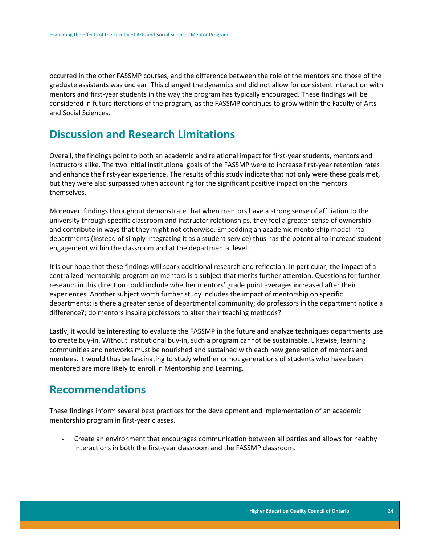occurred in the other FASSMP courses, and the difference between the role of the mentors and those of the graduate assistants was unclear. This changed the dynamics and did not allow for consistent interaction with mentors and first-year students in the way the program has typically encouraged. These findings will be considered in future iterations of the program, as the FASSMP continues to grow within the Faculty of Arts and Social Sciences.

### <span id="page-24-0"></span>**Discussion and Research Limitations**

Overall, the findings point to both an academic and relational impact for first-year students, mentors and instructors alike. The two initial institutional goals of the FASSMP were to increase first-year retention rates and enhance the first-year experience. The results of this study indicate that not only were these goals met, but they were also surpassed when accounting for the significant positive impact on the mentors themselves.

Moreover, findings throughout demonstrate that when mentors have a strong sense of affiliation to the university through specific classroom and instructor relationships, they feel a greater sense of ownership and contribute in ways that they might not otherwise. Embedding an academic mentorship model into departments (instead of simply integrating it as a student service) thus has the potential to increase student engagement within the classroom and at the departmental level.

It is our hope that these findings will spark additional research and reflection. In particular, the impact of a centralized mentorship program on mentors is a subject that merits further attention. Questions for further research in this direction could include whether mentors' grade point averages increased after their experiences. Another subject worth further study includes the impact of mentorship on specific departments: is there a greater sense of departmental community; do professors in the department notice a difference?; do mentors inspire professors to alter their teaching methods?

Lastly, it would be interesting to evaluate the FASSMP in the future and analyze techniques departments use to create buy-in. Without institutional buy-in, such a program cannot be sustainable. Likewise, learning communities and networks must be nourished and sustained with each new generation of mentors and mentees. It would thus be fascinating to study whether or not generations of students who have been mentored are more likely to enroll in Mentorship and Learning.

### <span id="page-24-1"></span>**Recommendations**

These findings inform several best practices for the development and implementation of an academic mentorship program in first-year classes.

- Create an environment that encourages communication between all parties and allows for healthy interactions in both the first-year classroom and the FASSMP classroom.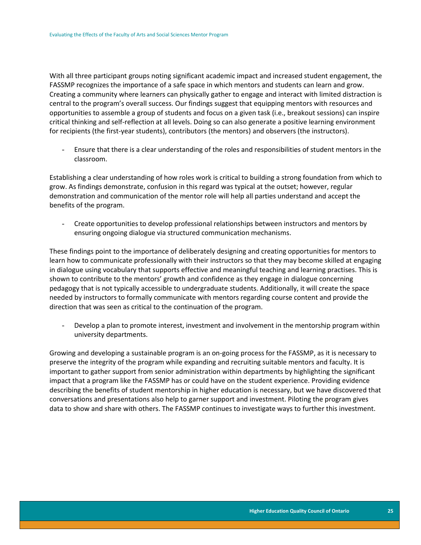With all three participant groups noting significant academic impact and increased student engagement, the FASSMP recognizes the importance of a safe space in which mentors and students can learn and grow. Creating a community where learners can physically gather to engage and interact with limited distraction is central to the program's overall success. Our findings suggest that equipping mentors with resources and opportunities to assemble a group of students and focus on a given task (i.e., breakout sessions) can inspire critical thinking and self-reflection at all levels. Doing so can also generate a positive learning environment for recipients (the first-year students), contributors (the mentors) and observers (the instructors).

- Ensure that there is a clear understanding of the roles and responsibilities of student mentors in the classroom.

Establishing a clear understanding of how roles work is critical to building a strong foundation from which to grow. As findings demonstrate, confusion in this regard was typical at the outset; however, regular demonstration and communication of the mentor role will help all parties understand and accept the benefits of the program.

- Create opportunities to develop professional relationships between instructors and mentors by ensuring ongoing dialogue via structured communication mechanisms.

These findings point to the importance of deliberately designing and creating opportunities for mentors to learn how to communicate professionally with their instructors so that they may become skilled at engaging in dialogue using vocabulary that supports effective and meaningful teaching and learning practises. This is shown to contribute to the mentors' growth and confidence as they engage in dialogue concerning pedagogy that is not typically accessible to undergraduate students. Additionally, it will create the space needed by instructors to formally communicate with mentors regarding course content and provide the direction that was seen as critical to the continuation of the program.

Develop a plan to promote interest, investment and involvement in the mentorship program within university departments.

<span id="page-25-0"></span>Growing and developing a sustainable program is an on-going process for the FASSMP, as it is necessary to preserve the integrity of the program while expanding and recruiting suitable mentors and faculty. It is important to gather support from senior administration within departments by highlighting the significant impact that a program like the FASSMP has or could have on the student experience. Providing evidence describing the benefits of student mentorship in higher education is necessary, but we have discovered that conversations and presentations also help to garner support and investment. Piloting the program gives data to show and share with others. The FASSMP continues to investigate ways to further this investment.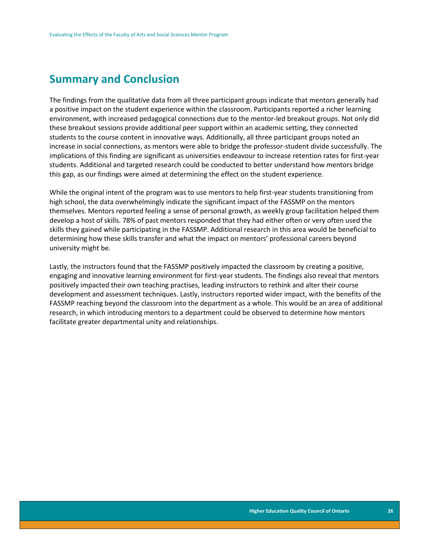### **Summary and Conclusion**

The findings from the qualitative data from all three participant groups indicate that mentors generally had a positive impact on the student experience within the classroom. Participants reported a richer learning environment, with increased pedagogical connections due to the mentor-led breakout groups. Not only did these breakout sessions provide additional peer support within an academic setting, they connected students to the course content in innovative ways. Additionally, all three participant groups noted an increase in social connections, as mentors were able to bridge the professor-student divide successfully. The implications of this finding are significant as universities endeavour to increase retention rates for first-year students. Additional and targeted research could be conducted to better understand how mentors bridge this gap, as our findings were aimed at determining the effect on the student experience.

While the original intent of the program was to use mentors to help first-year students transitioning from high school, the data overwhelmingly indicate the significant impact of the FASSMP on the mentors themselves. Mentors reported feeling a sense of personal growth, as weekly group facilitation helped them develop a host of skills. 78% of past mentors responded that they had either often or very often used the skills they gained while participating in the FASSMP. Additional research in this area would be beneficial to determining how these skills transfer and what the impact on mentors' professional careers beyond university might be.

Lastly, the instructors found that the FASSMP positively impacted the classroom by creating a positive, engaging and innovative learning environment for first-year students. The findings also reveal that mentors positively impacted their own teaching practises, leading instructors to rethink and alter their course development and assessment techniques. Lastly, instructors reported wider impact, with the benefits of the FASSMP reaching beyond the classroom into the department as a whole. This would be an area of additional research, in which introducing mentors to a department could be observed to determine how mentors facilitate greater departmental unity and relationships.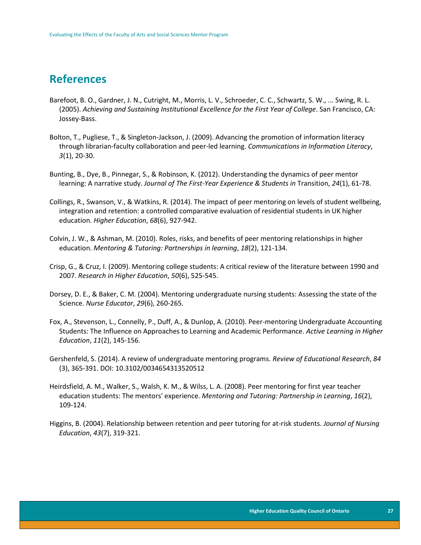### <span id="page-27-0"></span>**References**

- Barefoot, B. O., Gardner, J. N., Cutright, M., Morris, L. V., Schroeder, C. C., Schwartz, S. W., ... Swing, R. L. (2005). *Achieving and Sustaining Institutional Excellence for the First Year of College*. San Francisco, CA: Jossey-Bass.
- Bolton, T., Pugliese, T., & Singleton-Jackson, J. (2009). Advancing the promotion of information literacy through librarian-faculty collaboration and peer-led learning. *Communications in Information Literacy*, *3*(1), 20-30.
- Bunting, B., Dye, B., Pinnegar, S., & Robinson, K. (2012). Understanding the dynamics of peer mentor learning: A narrative study. *Journal of The First-Year Experience & Students in* Transition, *24*(1), 61-78.
- Collings, R., Swanson, V., & Watkins, R. (2014). The impact of peer mentoring on levels of student wellbeing, integration and retention: a controlled comparative evaluation of residential students in UK higher education. *Higher Education*, *68*(6), 927-942.
- Colvin, J. W., & Ashman, M. (2010). Roles, risks, and benefits of peer mentoring relationships in higher education. *Mentoring & Tutoring: Partnerships in learning*, *18*(2), 121-134.
- Crisp, G., & Cruz, I. (2009). Mentoring college students: A critical review of the literature between 1990 and 2007. *Research in Higher Education*, *50*(6), 525-545.
- Dorsey, D. E., & Baker, C. M. (2004). Mentoring undergraduate nursing students: Assessing the state of the Science. *Nurse Educator*, *29*(6), 260-265.
- Fox, A., Stevenson, L., Connelly, P., Duff, A., & Dunlop, A. (2010). Peer-mentoring Undergraduate Accounting Students: The Influence on Approaches to Learning and Academic Performance. *Active Learning in Higher Education*, *11*(2), 145-156.
- Gershenfeld, S. (2014). A review of undergraduate mentoring programs. *Review of Educational Research*, *84* (3), 365-391. DOI: 10.3102/0034654313520512
- Heirdsfield, A. M., Walker, S., Walsh, K. M., & Wilss, L. A. (2008). Peer mentoring for first year teacher education students: The mentors' experience. *Mentoring and Tutoring: Partnership in Learning*, *16*(2), 109-124.
- Higgins, B. (2004). Relationship between retention and peer tutoring for at-risk students. *Journal of Nursing Education*, *43*(7), 319-321.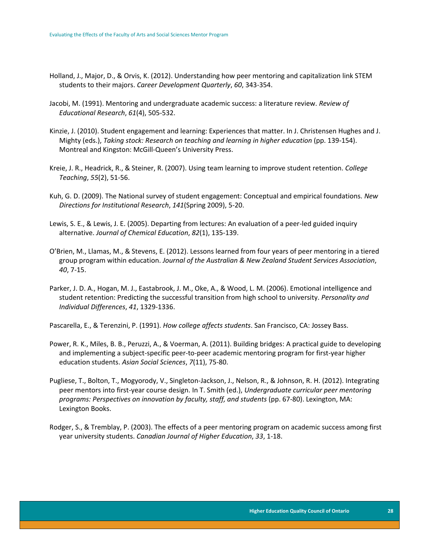Holland, J., Major, D., & Orvis, K. (2012). Understanding how peer mentoring and capitalization link STEM students to their majors. *Career Development Quarterly*, *60*, 343-354.

- Jacobi, M. (1991). Mentoring and undergraduate academic success: a literature review. *Review of Educational Research*, *61*(4), 505-532.
- Kinzie, J. (2010). Student engagement and learning: Experiences that matter. In J. Christensen Hughes and J. Mighty (eds.), *Taking stock: Research on teaching and learning in higher education* (pp. 139-154). Montreal and Kingston: McGill-Queen's University Press.
- Kreie, J. R., Headrick, R., & Steiner, R. (2007). Using team learning to improve student retention. *College Teaching*, *55*(2), 51-56.
- Kuh, G. D. (2009). The National survey of student engagement: Conceptual and empirical foundations. *New Directions for Institutional Research*, *141*(Spring 2009), 5-20.
- Lewis, S. E., & Lewis, J. E. (2005). Departing from lectures: An evaluation of a peer-led guided inquiry alternative. *Journal of Chemical Education*, *82*(1), 135-139.
- O'Brien, M., Llamas, M., & Stevens, E. (2012). Lessons learned from four years of peer mentoring in a tiered group program within education. *Journal of the Australian & New Zealand Student Services Association*, *40*, 7-15.
- Parker, J. D. A., Hogan, M. J., Eastabrook, J. M., Oke, A., & Wood, L. M. (2006). Emotional intelligence and student retention: Predicting the successful transition from high school to university. *Personality and Individual Differences*, *41*, 1329-1336.

Pascarella, E., & Terenzini, P. (1991). *How college affects students*. San Francisco, CA: Jossey Bass.

- Power, R. K., Miles, B. B., Peruzzi, A., & Voerman, A. (2011). Building bridges: A practical guide to developing and implementing a subject-specific peer-to-peer academic mentoring program for first-year higher education students. *Asian Social Sciences*, *7*(11), 75-80.
- Pugliese, T., Bolton, T., Mogyorody, V., Singleton-Jackson, J., Nelson, R., & Johnson, R. H. (2012). Integrating peer mentors into first-year course design. In T. Smith (ed.), *Undergraduate curricular peer mentoring programs: Perspectives on innovation by faculty, staff, and students* (pp. 67-80). Lexington, MA: Lexington Books.
- Rodger, S., & Tremblay, P. (2003). The effects of a peer mentoring program on academic success among first year university students. *Canadian Journal of Higher Education*, *33*, 1-18.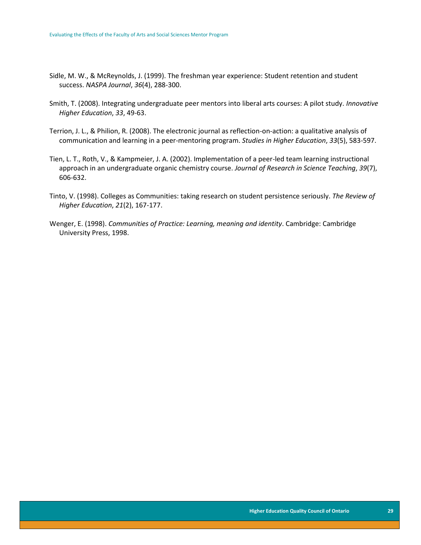- Sidle, M. W., & McReynolds, J. (1999). The freshman year experience: Student retention and student success. *NASPA Journal*, *36*(4), 288-300.
- Smith, T. (2008). Integrating undergraduate peer mentors into liberal arts courses: A pilot study. *Innovative Higher Education*, *33*, 49-63.
- Terrion, J. L., & Philion, R. (2008). The electronic journal as reflection‐on‐action: a qualitative analysis of communication and learning in a peer‐mentoring program. *Studies in Higher Education*, *33*(5), 583-597.
- Tien, L. T., Roth, V., & Kampmeier, J. A. (2002). Implementation of a peer-led team learning instructional approach in an undergraduate organic chemistry course. *Journal of Research in Science Teaching*, *39*(7), 606-632.
- Tinto, V. (1998). Colleges as Communities: taking research on student persistence seriously. *The Review of Higher Education*, *21*(2), 167-177.
- Wenger, E. (1998). *Communities of Practice: Learning, meaning and identity*. Cambridge: Cambridge University Press, 1998.